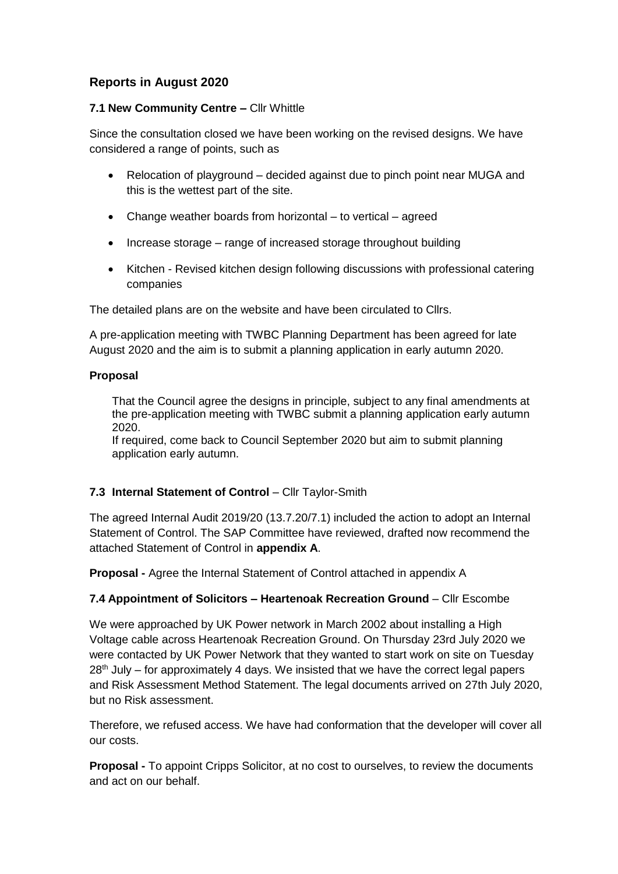### **Reports in August 2020**

#### **7.1 New Community Centre –** Cllr Whittle

Since the consultation closed we have been working on the revised designs. We have considered a range of points, such as

- Relocation of playground decided against due to pinch point near MUGA and this is the wettest part of the site.
- Change weather boards from horizontal to vertical agreed
- Increase storage range of increased storage throughout building
- Kitchen Revised kitchen design following discussions with professional catering companies

The detailed plans are on the website and have been circulated to Cllrs.

A pre-application meeting with TWBC Planning Department has been agreed for late August 2020 and the aim is to submit a planning application in early autumn 2020.

#### **Proposal**

That the Council agree the designs in principle, subject to any final amendments at the pre-application meeting with TWBC submit a planning application early autumn 2020.

If required, come back to Council September 2020 but aim to submit planning application early autumn.

#### **7.3 Internal Statement of Control** – Cllr Taylor-Smith

The agreed Internal Audit 2019/20 (13.7.20/7.1) included the action to adopt an Internal Statement of Control. The SAP Committee have reviewed, drafted now recommend the attached Statement of Control in **appendix A**.

**Proposal -** Agree the Internal Statement of Control attached in appendix A

#### **7.4 Appointment of Solicitors – Heartenoak Recreation Ground** – Cllr Escombe

We were approached by UK Power network in March 2002 about installing a High Voltage cable across Heartenoak Recreation Ground. On Thursday 23rd July 2020 we were contacted by UK Power Network that they wanted to start work on site on Tuesday  $28<sup>th</sup>$  July – for approximately 4 days. We insisted that we have the correct legal papers and Risk Assessment Method Statement. The legal documents arrived on 27th July 2020, but no Risk assessment.

Therefore, we refused access. We have had conformation that the developer will cover all our costs.

**Proposal -** To appoint Cripps Solicitor, at no cost to ourselves, to review the documents and act on our behalf.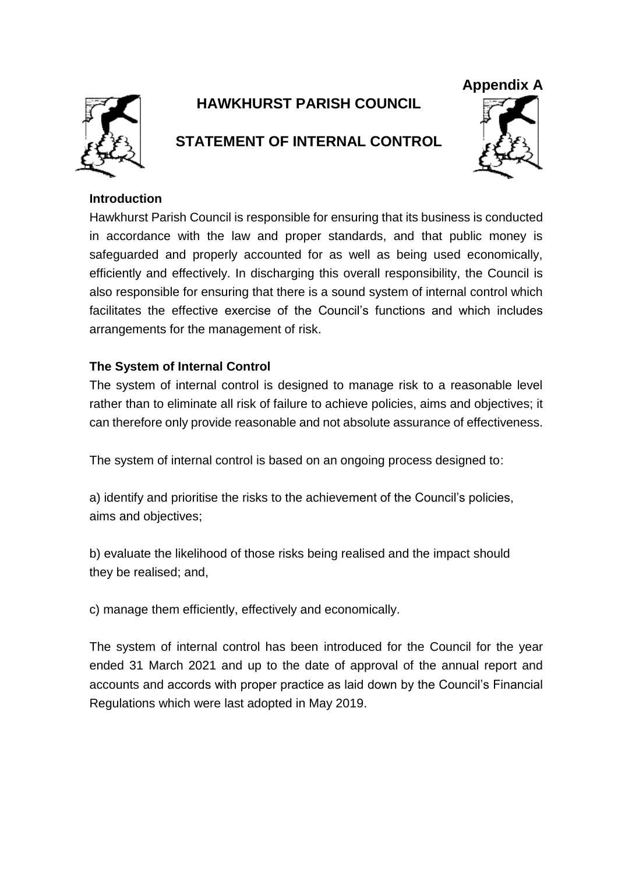

# **HAWKHURST PARISH COUNCIL**

## **STATEMENT OF INTERNAL CONTROL**





### **Introduction**

Hawkhurst Parish Council is responsible for ensuring that its business is conducted in accordance with the law and proper standards, and that public money is safeguarded and properly accounted for as well as being used economically, efficiently and effectively. In discharging this overall responsibility, the Council is also responsible for ensuring that there is a sound system of internal control which facilitates the effective exercise of the Council's functions and which includes arrangements for the management of risk.

### **The System of Internal Control**

The system of internal control is designed to manage risk to a reasonable level rather than to eliminate all risk of failure to achieve policies, aims and objectives; it can therefore only provide reasonable and not absolute assurance of effectiveness.

The system of internal control is based on an ongoing process designed to:

a) identify and prioritise the risks to the achievement of the Council's policies, aims and objectives;

b) evaluate the likelihood of those risks being realised and the impact should they be realised; and,

c) manage them efficiently, effectively and economically.

The system of internal control has been introduced for the Council for the year ended 31 March 2021 and up to the date of approval of the annual report and accounts and accords with proper practice as laid down by the Council's Financial Regulations which were last adopted in May 2019.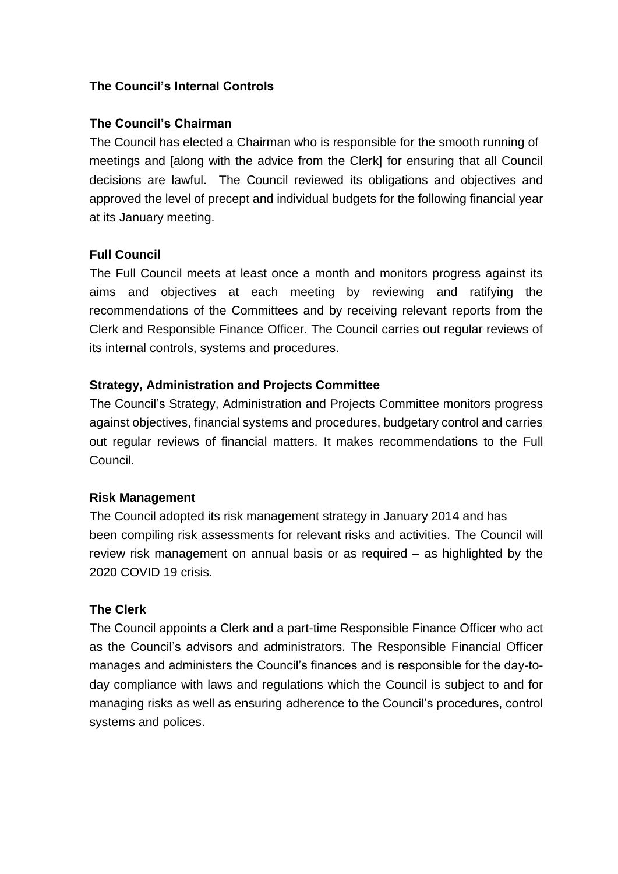#### **The Council's Internal Controls**

#### **The Council's Chairman**

The Council has elected a Chairman who is responsible for the smooth running of meetings and [along with the advice from the Clerk] for ensuring that all Council decisions are lawful. The Council reviewed its obligations and objectives and approved the level of precept and individual budgets for the following financial year at its January meeting.

### **Full Council**

The Full Council meets at least once a month and monitors progress against its aims and objectives at each meeting by reviewing and ratifying the recommendations of the Committees and by receiving relevant reports from the Clerk and Responsible Finance Officer. The Council carries out regular reviews of its internal controls, systems and procedures.

### **Strategy, Administration and Projects Committee**

The Council's Strategy, Administration and Projects Committee monitors progress against objectives, financial systems and procedures, budgetary control and carries out regular reviews of financial matters. It makes recommendations to the Full Council.

#### **Risk Management**

The Council adopted its risk management strategy in January 2014 and has been compiling risk assessments for relevant risks and activities. The Council will review risk management on annual basis or as required – as highlighted by the 2020 COVID 19 crisis.

#### **The Clerk**

The Council appoints a Clerk and a part-time Responsible Finance Officer who act as the Council's advisors and administrators. The Responsible Financial Officer manages and administers the Council's finances and is responsible for the day-today compliance with laws and regulations which the Council is subject to and for managing risks as well as ensuring adherence to the Council's procedures, control systems and polices.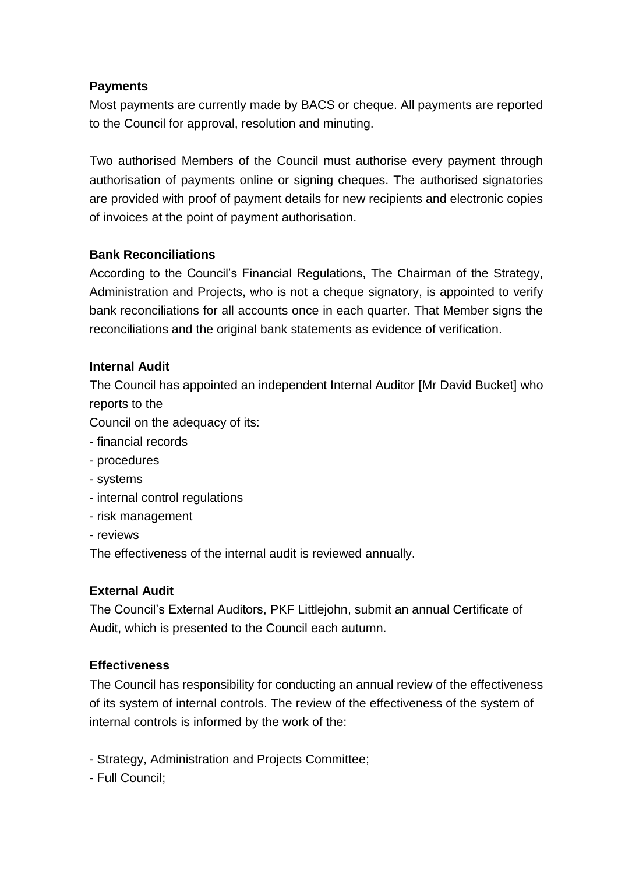### **Payments**

Most payments are currently made by BACS or cheque. All payments are reported to the Council for approval, resolution and minuting.

Two authorised Members of the Council must authorise every payment through authorisation of payments online or signing cheques. The authorised signatories are provided with proof of payment details for new recipients and electronic copies of invoices at the point of payment authorisation.

## **Bank Reconciliations**

According to the Council's Financial Regulations, The Chairman of the Strategy, Administration and Projects, who is not a cheque signatory, is appointed to verify bank reconciliations for all accounts once in each quarter. That Member signs the reconciliations and the original bank statements as evidence of verification.

### **Internal Audit**

The Council has appointed an independent Internal Auditor [Mr David Bucket] who reports to the

Council on the adequacy of its:

- financial records
- procedures
- systems
- internal control regulations
- risk management
- reviews

The effectiveness of the internal audit is reviewed annually.

## **External Audit**

The Council's External Auditors, PKF Littlejohn, submit an annual Certificate of Audit, which is presented to the Council each autumn.

## **Effectiveness**

The Council has responsibility for conducting an annual review of the effectiveness of its system of internal controls. The review of the effectiveness of the system of internal controls is informed by the work of the:

- Strategy, Administration and Projects Committee;
- Full Council;